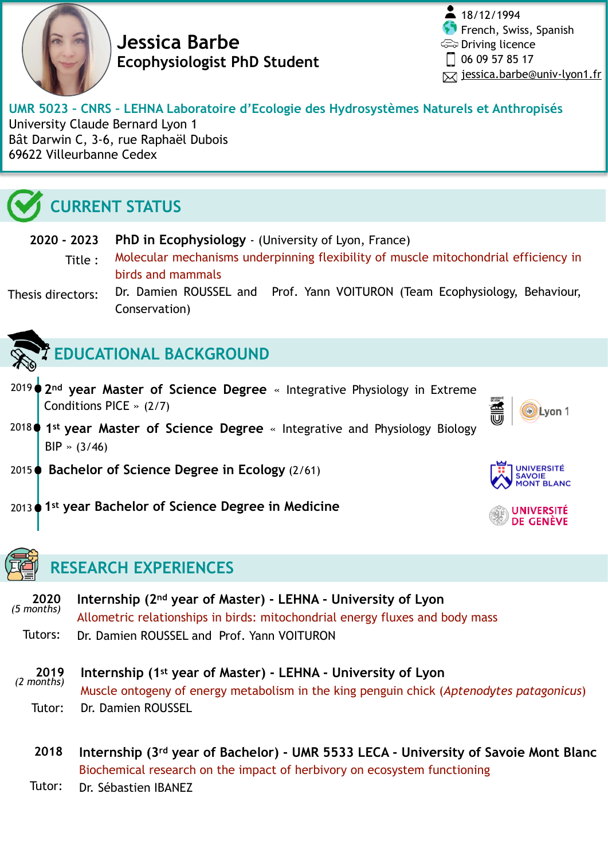

**Jessica Barbe Ecophysiologist PhD Student**

 $\frac{2}{18/12/1994}$ French, Swiss, Spanish Driving licence  $\Box$  06 09 57 85 17  $⊓$  [jessica.barbe@univ-lyon1.fr](mailto:jessica.barbe@outlook.fr)

Lvon 1

NIVERSITÉ

JNIVERSITÉ DE GENÈVE

#### **UMR 5023 – CNRS – LEHNA Laboratoire d'Ecologie des Hydrosystèmes Naturels et Anthropisés**  University Claude Bernard Lyon 1

Bât Darwin C, 3-6, rue Raphaël Dubois 69622 Villeurbanne Cedex

# **CURRENT STATUS**

**PhD in Ecophysiology** - (University of Lyon, France) **2020 - 2023** 

- Molecular mechanisms underpinning flexibility of muscle mitochondrial efficiency in birds and mammals Title :
- Dr. Damien ROUSSEL and Prof. Yann VOITURON (Team Ecophysiology, Behaviour, Conservation) Thesis directors:

- **EDUCATIONAL BACKGROUND**
- 2019 **2nd year Master of Science Degree** « Integrative Physiology in Extreme Conditions PICE » (2/7)
- <sup>2018</sup> (1<sup>st</sup> year Master of Science Degree « Integrative and Physiology Biology BIP » (3/46)
- 2015 **Bachelor of Science Degree in Ecology** (2/61)
- **1st year Bachelor of Science Degree in Medicine** 2013



## **RESEARCH EXPERIENCES**

- **Internship (2nd year of Master) LEHNA University of Lyon**  Allometric relationships in birds: mitochondrial energy fluxes and body mass Dr. Damien ROUSSEL and Prof. Yann VOITURON **2020**  *(5 months)*  Tutors:
- **Internship (1st year of Master) LEHNA University of Lyon**  Muscle ontogeny of energy metabolism in the king penguin chick (*Aptenodytes patagonicus*) Dr. Damien ROUSSEL **2019**  *(2 months)*  Tutor:
	- **Internship (3rd year of Bachelor) UMR 5533 LECA University of Savoie Mont Blanc**  Biochemical research on the impact of herbivory on ecosystem functioning **2018**
	- Dr. Sébastien IBANEZ Tutor: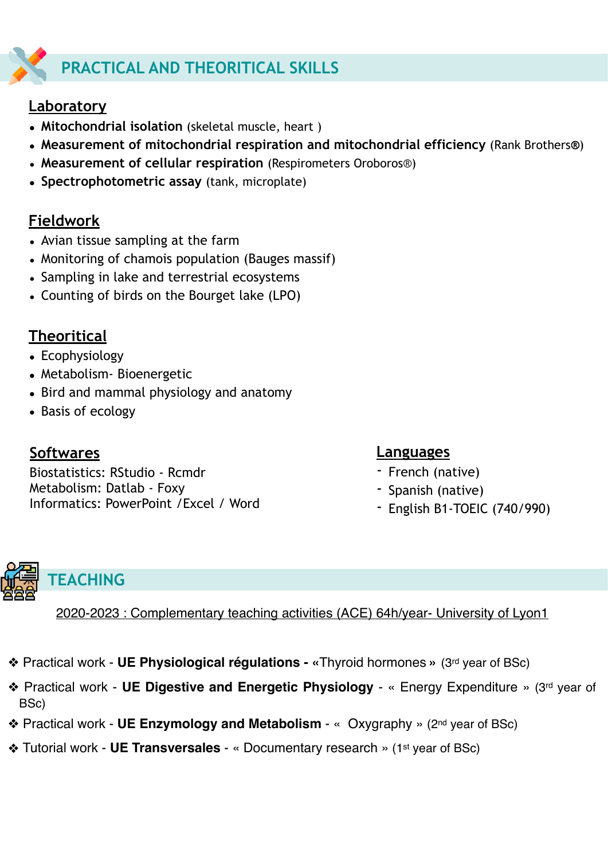# **PRACTICAL AND THEORITICAL SKILLS**

## **Laboratory**

- **• Mitochondrial isolation** (skeletal muscle, heart )
- **• Measurement of mitochondrial respiration and mitochondrial efficiency** (Rank Brothers**®**)
- **Measurement of cellular respiration** (Respirometers Oroboros®)
- **• Spectrophotometric assay** (tank, microplate)

#### **Fieldwork**

- Avian tissue sampling at the farm
- Monitoring of chamois population (Bauges massif)
- Sampling in lake and terrestrial ecosystems
- Counting of birds on the Bourget lake (LPO)

## **Theoritical**

- **•** Ecophysiology
- **•** Metabolism- Bioenergetic
- **•** Bird and mammal physiology and anatomy
- **•** Basis of ecology

#### **Softwares**

Biostatistics: RStudio - Rcmdr Metabolism: Datlab - Foxy Informatics: PowerPoint /Excel / Word

#### **Languages**

- French (native)
- Spanish (native)
- English B1-TOEIC (740/990)



2020-2023 : Complementary teaching activities (ACE) 64h/year- University of Lyon1

- ❖ Practical work **UE Physiological régulations «**Thyroid hormones **»** (3rd year of BSc)
- ❖ Practical work **UE Digestive and Energetic Physiology**  « Energy Expenditure » (3rd year of BSc)
- ❖ Practical work **UE Enzymology and Metabolism** « Oxygraphy » (2nd year of BSc)
- ❖ Tutorial work **UE Transversales**  « Documentary research » (1st year of BSc)